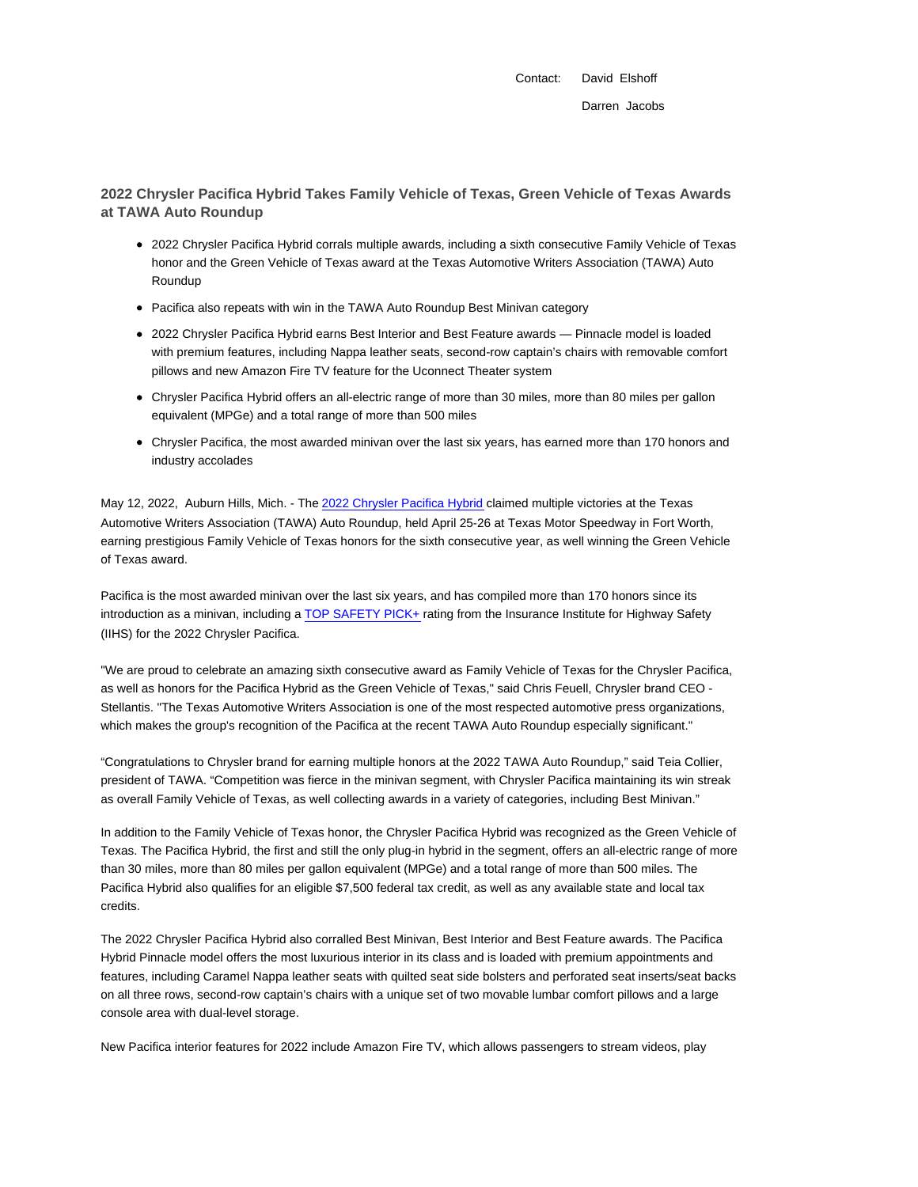Contact: David Elshoff Darren Jacobs

**2022 Chrysler Pacifica Hybrid Takes Family Vehicle of Texas, Green Vehicle of Texas Awards at TAWA Auto Roundup**

- 2022 Chrysler Pacifica Hybrid corrals multiple awards, including a sixth consecutive Family Vehicle of Texas honor and the Green Vehicle of Texas award at the Texas Automotive Writers Association (TAWA) Auto Roundup
- Pacifica also repeats with win in the TAWA Auto Roundup Best Minivan category
- 2022 Chrysler Pacifica Hybrid earns Best Interior and Best Feature awards Pinnacle model is loaded with premium features, including Nappa leather seats, second-row captain's chairs with removable comfort pillows and new Amazon Fire TV feature for the Uconnect Theater system
- Chrysler Pacifica Hybrid offers an all-electric range of more than 30 miles, more than 80 miles per gallon equivalent (MPGe) and a total range of more than 500 miles
- Chrysler Pacifica, the most awarded minivan over the last six years, has earned more than 170 honors and industry accolades

May 12, 2022, Auburn Hills, Mich. - The 2022 Chrysler Pacifica Hybrid claimed multiple victories at the Texas Automotive Writers Association (TAWA) Auto Roundup, held April 25-26 at Texas Motor Speedway in Fort Worth, earning prestigious Family Vehicle of Texas honors for the sixth consecutive year, as well winning the Green Vehicle of Texas award.

Pacifica is the most awarded minivan over the last six years, and has compiled more than 170 honors since its introduction as a minivan, including a TOP SAFETY PICK+ rating from the Insurance Institute for Highway Safety (IIHS) for the 2022 Chrysler Pacifica.

"We are proud to celebrate an amazing sixth consecutive award as Family Vehicle of Texas for the Chrysler Pacifica, as well as honors for the Pacifica Hybrid as the Green Vehicle of Texas," said Chris Feuell, Chrysler brand CEO - Stellantis. "The Texas Automotive Writers Association is one of the most respected automotive press organizations, which makes the group's recognition of the Pacifica at the recent TAWA Auto Roundup especially significant."

"Congratulations to Chrysler brand for earning multiple honors at the 2022 TAWA Auto Roundup," said Teia Collier, president of TAWA. "Competition was fierce in the minivan segment, with Chrysler Pacifica maintaining its win streak as overall Family Vehicle of Texas, as well collecting awards in a variety of categories, including Best Minivan."

In addition to the Family Vehicle of Texas honor, the Chrysler Pacifica Hybrid was recognized as the Green Vehicle of Texas. The Pacifica Hybrid, the first and still the only plug-in hybrid in the segment, offers an all-electric range of more than 30 miles, more than 80 miles per gallon equivalent (MPGe) and a total range of more than 500 miles. The Pacifica Hybrid also qualifies for an eligible \$7,500 federal tax credit, as well as any available state and local tax credits.

The 2022 Chrysler Pacifica Hybrid also corralled Best Minivan, Best Interior and Best Feature awards. The Pacifica Hybrid Pinnacle model offers the most luxurious interior in its class and is loaded with premium appointments and features, including Caramel Nappa leather seats with quilted seat side bolsters and perforated seat inserts/seat backs on all three rows, second-row captain's chairs with a unique set of two movable lumbar comfort pillows and a large console area with dual-level storage.

New Pacifica interior features for 2022 include Amazon Fire TV, which allows passengers to stream videos, play